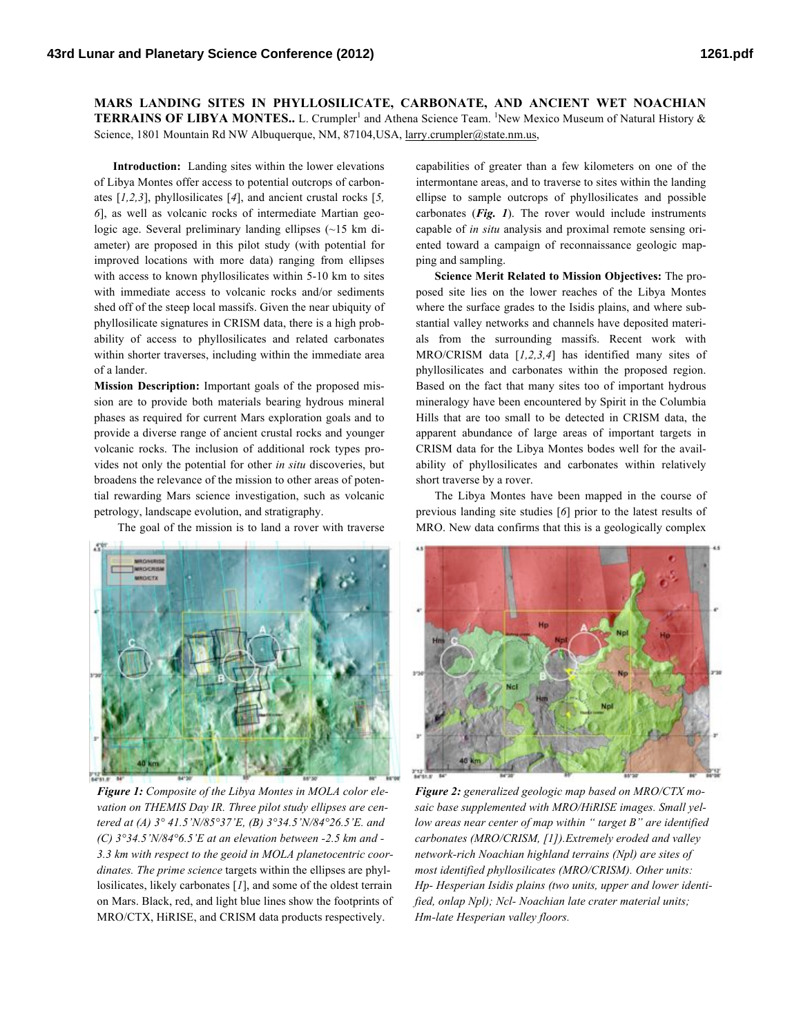**MARS LANDING SITES IN PHYLLOSILICATE, CARBONATE, AND ANCIENT WET NOACHIAN**  TERRAINS OF LIBYA MONTES.. L. Crumpler<sup>1</sup> and Athena Science Team. <sup>1</sup>New Mexico Museum of Natural History & Science, 1801 Mountain Rd NW Albuquerque, NM, 87104,USA, larry.crumpler@state.nm.us,

**Introduction:** Landing sites within the lower elevations of Libya Montes offer access to potential outcrops of carbonates [*1,2,3*], phyllosilicates [*4*], and ancient crustal rocks [*5, 6*], as well as volcanic rocks of intermediate Martian geologic age. Several preliminary landing ellipses (~15 km diameter) are proposed in this pilot study (with potential for improved locations with more data) ranging from ellipses with access to known phyllosilicates within 5-10 km to sites with immediate access to volcanic rocks and/or sediments shed off of the steep local massifs. Given the near ubiquity of phyllosilicate signatures in CRISM data, there is a high probability of access to phyllosilicates and related carbonates within shorter traverses, including within the immediate area of a lander.

**Mission Description:** Important goals of the proposed mission are to provide both materials bearing hydrous mineral phases as required for current Mars exploration goals and to provide a diverse range of ancient crustal rocks and younger volcanic rocks. The inclusion of additional rock types provides not only the potential for other *in situ* discoveries, but broadens the relevance of the mission to other areas of potential rewarding Mars science investigation, such as volcanic petrology, landscape evolution, and stratigraphy.

The goal of the mission is to land a rover with traverse



*Figure 1: Composite of the Libya Montes in MOLA color elevation on THEMIS Day IR. Three pilot study ellipses are centered at (A) 3° 41.5'N/85°37'E, (B) 3°34.5'N/84°26.5'E. and (C) 3°34.5'N/84°6.5'E at an elevation between -2.5 km and - 3.3 km with respect to the geoid in MOLA planetocentric coordinates. The prime science* targets within the ellipses are phyllosilicates, likely carbonates [*1*], and some of the oldest terrain on Mars. Black, red, and light blue lines show the footprints of MRO/CTX, HiRISE, and CRISM data products respectively.

capabilities of greater than a few kilometers on one of the intermontane areas, and to traverse to sites within the landing ellipse to sample outcrops of phyllosilicates and possible carbonates (*Fig. 1*). The rover would include instruments capable of *in situ* analysis and proximal remote sensing oriented toward a campaign of reconnaissance geologic mapping and sampling.

**Science Merit Related to Mission Objectives:** The proposed site lies on the lower reaches of the Libya Montes where the surface grades to the Isidis plains, and where substantial valley networks and channels have deposited materials from the surrounding massifs. Recent work with MRO/CRISM data [*1,2,3,4*] has identified many sites of phyllosilicates and carbonates within the proposed region. Based on the fact that many sites too of important hydrous mineralogy have been encountered by Spirit in the Columbia Hills that are too small to be detected in CRISM data, the apparent abundance of large areas of important targets in CRISM data for the Libya Montes bodes well for the availability of phyllosilicates and carbonates within relatively short traverse by a rover.

The Libya Montes have been mapped in the course of previous landing site studies [*6*] prior to the latest results of MRO. New data confirms that this is a geologically complex



*Figure 2: generalized geologic map based on MRO/CTX mosaic base supplemented with MRO/HiRISE images. Small yellow areas near center of map within " target B" are identified carbonates (MRO/CRISM, [1]).Extremely eroded and valley network-rich Noachian highland terrains (Npl) are sites of most identified phyllosilicates (MRO/CRISM). Other units: Hp- Hesperian Isidis plains (two units, upper and lower identified, onlap Npl); Ncl- Noachian late crater material units; Hm-late Hesperian valley floors.*